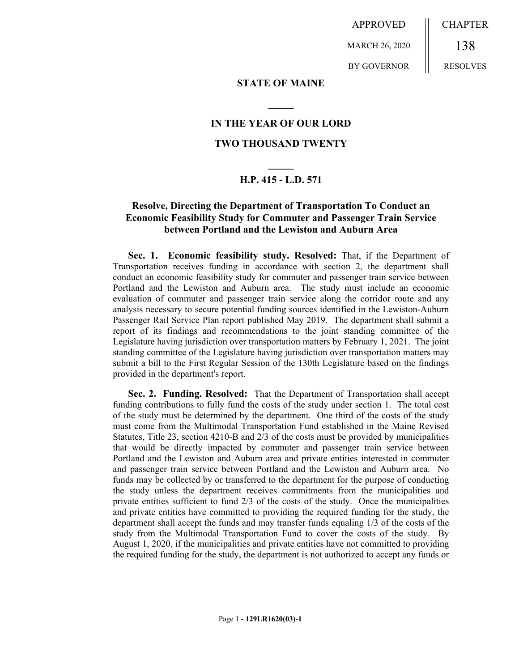APPROVED

MARCH 26, 2020

BY GOVERNOR

CHAPTER 138 RESOLVES

### **STATE OF MAINE**

**\_\_\_\_\_**

### **IN THE YEAR OF OUR LORD**

## **TWO THOUSAND TWENTY**

# **\_\_\_\_\_ H.P. 415 - L.D. 571**

### **Resolve, Directing the Department of Transportation To Conduct an Economic Feasibility Study for Commuter and Passenger Train Service between Portland and the Lewiston and Auburn Area**

Sec. 1. Economic feasibility study. Resolved: That, if the Department of Transportation receives funding in accordance with section 2, the department shall conduct an economic feasibility study for commuter and passenger train service between Portland and the Lewiston and Auburn area. The study must include an economic evaluation of commuter and passenger train service along the corridor route and any analysis necessary to secure potential funding sources identified in the Lewiston-Auburn Passenger Rail Service Plan report published May 2019. The department shall submit a report of its findings and recommendations to the joint standing committee of the Legislature having jurisdiction over transportation matters by February 1, 2021. The joint standing committee of the Legislature having jurisdiction over transportation matters may submit a bill to the First Regular Session of the 130th Legislature based on the findings provided in the department's report.

**Sec. 2. Funding. Resolved:** That the Department of Transportation shall accept funding contributions to fully fund the costs of the study under section 1. The total cost of the study must be determined by the department. One third of the costs of the study must come from the Multimodal Transportation Fund established in the Maine Revised Statutes, Title 23, section 4210-B and 2/3 of the costs must be provided by municipalities that would be directly impacted by commuter and passenger train service between Portland and the Lewiston and Auburn area and private entities interested in commuter and passenger train service between Portland and the Lewiston and Auburn area. No funds may be collected by or transferred to the department for the purpose of conducting the study unless the department receives commitments from the municipalities and private entities sufficient to fund  $2/3$  of the costs of the study. Once the municipalities and private entities have committed to providing the required funding for the study, the department shall accept the funds and may transfer funds equaling 1/3 of the costs of the study from the Multimodal Transportation Fund to cover the costs of the study. By August 1, 2020, if the municipalities and private entities have not committed to providing the required funding for the study, the department is not authorized to accept any funds or